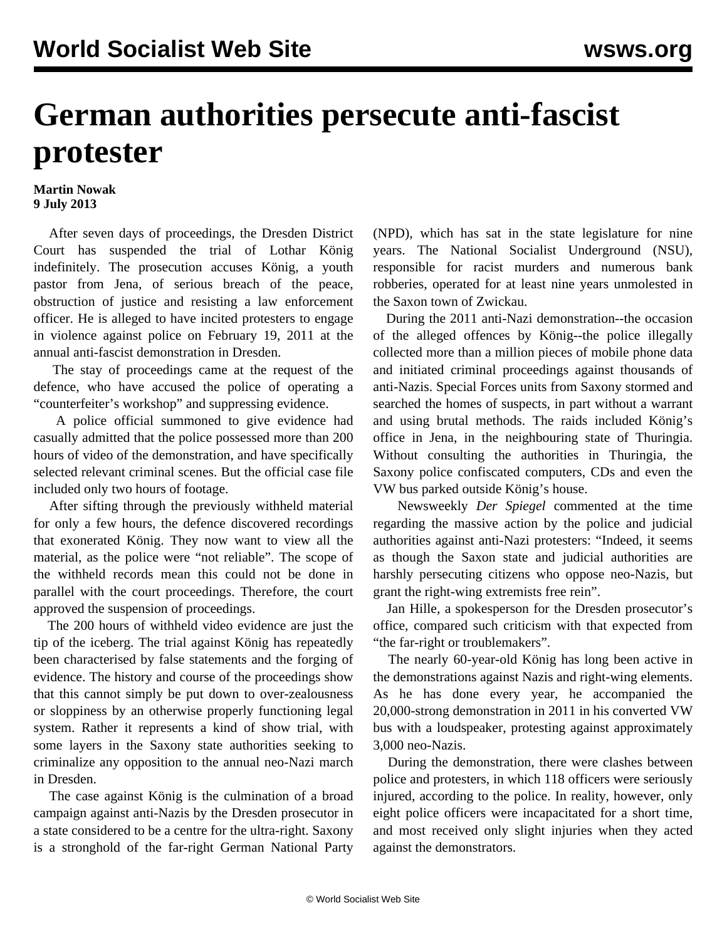## **German authorities persecute anti-fascist protester**

## **Martin Nowak 9 July 2013**

 After seven days of proceedings, the Dresden District Court has suspended the trial of Lothar König indefinitely. The prosecution accuses König, a youth pastor from Jena, of serious breach of the peace, obstruction of justice and resisting a law enforcement officer. He is alleged to have incited protesters to engage in violence against police on February 19, 2011 at the annual anti-fascist demonstration in Dresden.

 The stay of proceedings came at the request of the defence, who have accused the police of operating a "counterfeiter's workshop" and suppressing evidence.

 A police official summoned to give evidence had casually admitted that the police possessed more than 200 hours of video of the demonstration, and have specifically selected relevant criminal scenes. But the official case file included only two hours of footage.

 After sifting through the previously withheld material for only a few hours, the defence discovered recordings that exonerated König. They now want to view all the material, as the police were "not reliable". The scope of the withheld records mean this could not be done in parallel with the court proceedings. Therefore, the court approved the suspension of proceedings.

 The 200 hours of withheld video evidence are just the tip of the iceberg. The trial against König has repeatedly been characterised by false statements and the forging of evidence. The history and course of the proceedings show that this cannot simply be put down to over-zealousness or sloppiness by an otherwise properly functioning legal system. Rather it represents a kind of show trial, with some layers in the Saxony state authorities seeking to criminalize any opposition to the annual neo-Nazi march in Dresden.

 The case against König is the culmination of a broad campaign against anti-Nazis by the Dresden prosecutor in a state considered to be a centre for the ultra-right. Saxony is a stronghold of the far-right German National Party (NPD), which has sat in the state legislature for nine years. The National Socialist Underground (NSU), responsible for racist murders and numerous bank robberies, operated for at least nine years unmolested in the Saxon town of Zwickau.

 During the 2011 anti-Nazi demonstration--the occasion of the alleged offences by König--the police illegally collected more than a million pieces of mobile phone data and initiated criminal proceedings against thousands of anti-Nazis. Special Forces units from Saxony stormed and searched the homes of suspects, in part without a warrant and using brutal methods. The raids included König's office in Jena, in the neighbouring state of Thuringia. Without consulting the authorities in Thuringia, the Saxony police confiscated computers, CDs and even the VW bus parked outside König's house.

 Newsweekly *Der Spiegel* commented at the time regarding the massive action by the police and judicial authorities against anti-Nazi protesters: "Indeed, it seems as though the Saxon state and judicial authorities are harshly persecuting citizens who oppose neo-Nazis, but grant the right-wing extremists free rein".

 Jan Hille, a spokesperson for the Dresden prosecutor's office, compared such criticism with that expected from "the far-right or troublemakers".

 The nearly 60-year-old König has long been active in the demonstrations against Nazis and right-wing elements. As he has done every year, he accompanied the 20,000-strong demonstration in 2011 in his converted VW bus with a loudspeaker, protesting against approximately 3,000 neo-Nazis.

 During the demonstration, there were clashes between police and protesters, in which 118 officers were seriously injured, according to the police. In reality, however, only eight police officers were incapacitated for a short time, and most received only slight injuries when they acted against the demonstrators.